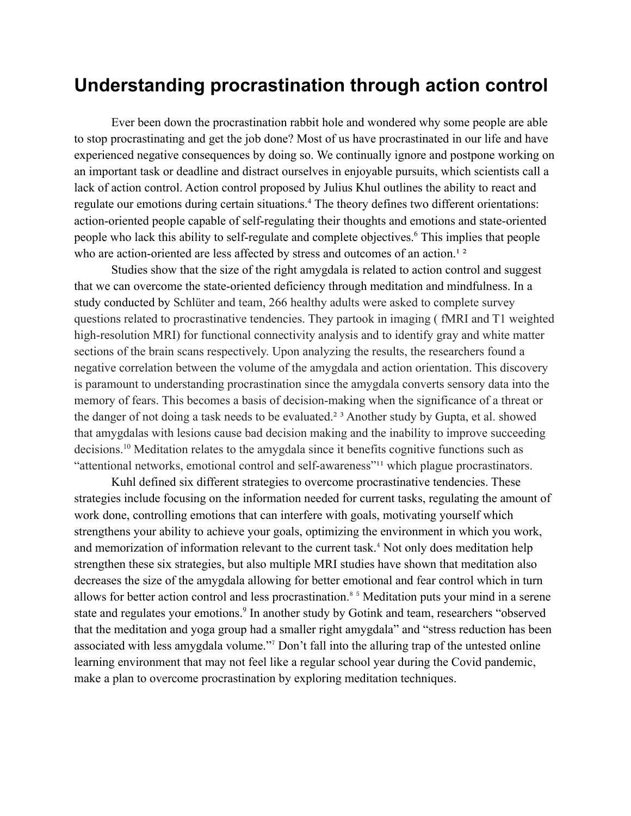## **Understanding procrastination through action control**

Ever been down the procrastination rabbit hole and wondered why some people are able to stop procrastinating and get the job done? Most of us have procrastinated in our life and have experienced negative consequences by doing so. We continually ignore and postpone working on an important task or deadline and distract ourselves in enjoyable pursuits, which scientists call a lack of action control. Action control proposed by Julius Khul outlines the ability to react and regulate our emotions during certain situations.<sup>4</sup> The theory defines two different orientations: action-oriented people capable of self-regulating their thoughts and emotions and state-oriented people who lack this ability to self-regulate and complete objectives.<sup>6</sup> This implies that people who are action-oriented are less affected by stress and outcomes of an action.<sup>12</sup>

Studies show that the size of the right amygdala is related to action control and suggest that we can overcome the state-oriented deficiency through meditation and mindfulness. In a study conducted by Schlüter and team, 266 healthy adults were asked to complete survey questions related to procrastinative tendencies. They partook in imaging ( fMRI and T1 weighted high-resolution MRI) for functional connectivity analysis and to identify gray and white matter sections of the brain scans respectively. Upon analyzing the results, the researchers found a negative correlation between the volume of the amygdala and action orientation. This discovery is paramount to understanding procrastination since the amygdala converts sensory data into the memory of fears. This becomes a basis of decision-making when the significance of a threat or the danger of not doing a task needs to be evaluated.<sup>23</sup> Another study by Gupta, et al. showed that amygdalas with lesions cause bad decision making and the inability to improve succeeding decisions.<sup>10</sup> Meditation relates to the amygdala since it benefits cognitive functions such as "attentional networks, emotional control and self-awareness"<sup>11</sup> which plague procrastinators.

Kuhl defined six different strategies to overcome procrastinative tendencies. These strategies include focusing on the information needed for current tasks, regulating the amount of work done, controlling emotions that can interfere with goals, motivating yourself which strengthens your ability to achieve your goals, optimizing the environment in which you work, and memorization of information relevant to the current task.<sup>4</sup> Not only does meditation help strengthen these six strategies, but also multiple MRI studies have shown that meditation also decreases the size of the amygdala allowing for better emotional and fear control which in turn allows for better action control and less procrastination.<sup>8</sup> <sup>5</sup> Meditation puts your mind in a serene state and regulates your emotions.<sup>9</sup> In another study by Gotink and team, researchers "observed that the meditation and yoga group had a smaller right amygdala" and "stress reduction has been associated with less amygdala volume."<sup>7</sup> Don't fall into the alluring trap of the untested online learning environment that may not feel like a regular school year during the Covid pandemic, make a plan to overcome procrastination by exploring meditation techniques.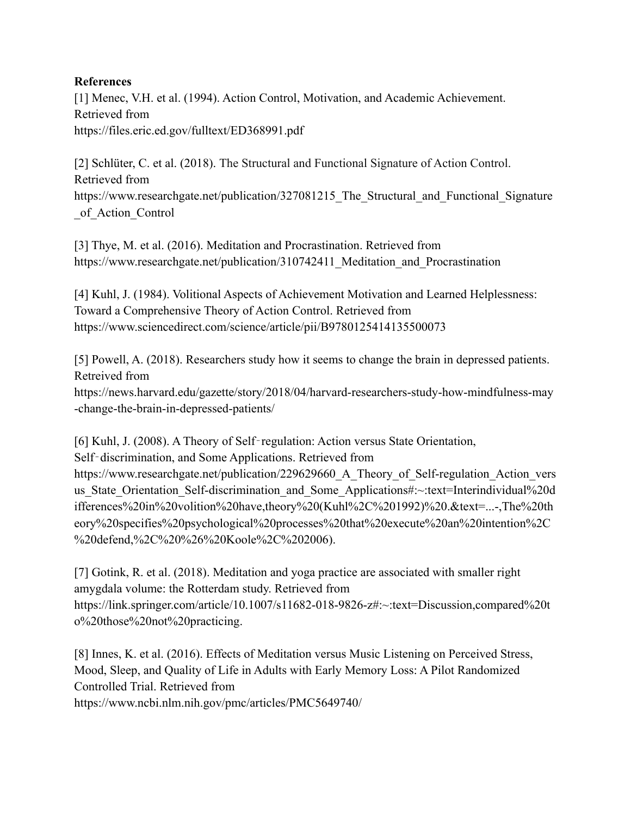## **References**

[1] Menec, V.H. et al. (1994). Action Control, Motivation, and Academic Achievement. Retrieved from https://files.eric.ed.gov/fulltext/ED368991.pdf

[2] Schlüter, C. et al. (2018). The Structural and Functional Signature of Action Control. Retrieved from https://www.researchgate.net/publication/327081215 The Structural and Functional Signature of Action Control

[3] Thye, M. et al. (2016). Meditation and Procrastination. Retrieved from https://www.researchgate.net/publication/310742411 Meditation and Procrastination

[4] Kuhl, J. (1984). Volitional Aspects of Achievement Motivation and Learned Helplessness: Toward a Comprehensive Theory of Action Control. Retrieved from https://www.sciencedirect.com/science/article/pii/B9780125414135500073

[5] Powell, A. (2018). Researchers study how it seems to change the brain in depressed patients. Retreived from https://news.harvard.edu/gazette/story/2018/04/harvard-researchers-study-how-mindfulness-may -change-the-brain-in-depressed-patients/

[6] Kuhl, J. (2008). A Theory of Self-regulation: Action versus State Orientation,

Self-discrimination, and Some Applications. Retrieved from

https://www.researchgate.net/publication/229629660 A Theory of Self-regulation Action vers us State Orientation Self-discrimination and Some Applications#:~:text=Interindividual%20d ifferences%20in%20volition%20have,theory%20(Kuhl%2C%201992)%20.&text=...-,The%20th eory%20specifies%20psychological%20processes%20that%20execute%20an%20intention%2C %20defend,%2C%20%26%20Koole%2C%202006).

[7] Gotink, R. et al. (2018). Meditation and yoga practice are associated with smaller right amygdala volume: the Rotterdam study. Retrieved from https://link.springer.com/article/10.1007/s11682-018-9826-z#:~:text=Discussion,compared%20t o%20those%20not%20practicing.

[8] Innes, K. et al. (2016). Effects of Meditation versus Music Listening on Perceived Stress, Mood, Sleep, and Quality of Life in Adults with Early Memory Loss: A Pilot Randomized Controlled Trial. Retrieved from

https://www.ncbi.nlm.nih.gov/pmc/articles/PMC5649740/